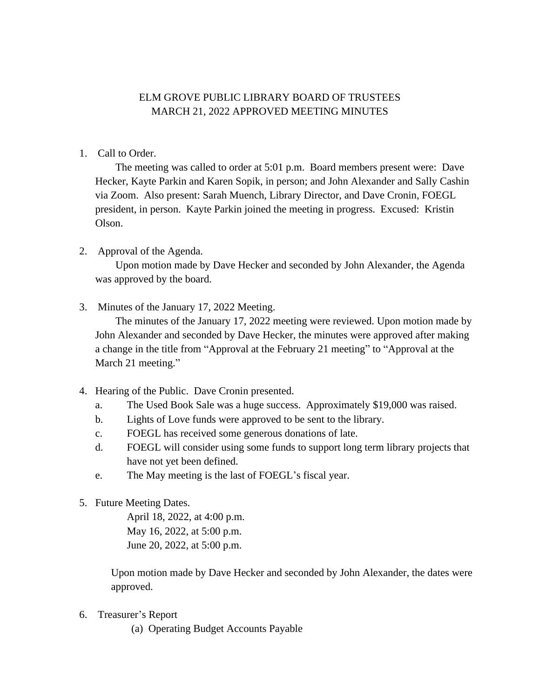## ELM GROVE PUBLIC LIBRARY BOARD OF TRUSTEES MARCH 21, 2022 APPROVED MEETING MINUTES

1. Call to Order.

The meeting was called to order at 5:01 p.m. Board members present were: Dave Hecker, Kayte Parkin and Karen Sopik, in person; and John Alexander and Sally Cashin via Zoom. Also present: Sarah Muench, Library Director, and Dave Cronin, FOEGL president, in person. Kayte Parkin joined the meeting in progress. Excused: Kristin Olson.

2. Approval of the Agenda.

Upon motion made by Dave Hecker and seconded by John Alexander, the Agenda was approved by the board.

3. Minutes of the January 17, 2022 Meeting.

The minutes of the January 17, 2022 meeting were reviewed. Upon motion made by John Alexander and seconded by Dave Hecker, the minutes were approved after making a change in the title from "Approval at the February 21 meeting" to "Approval at the March 21 meeting."

- 4. Hearing of the Public. Dave Cronin presented.
	- a. The Used Book Sale was a huge success. Approximately \$19,000 was raised.
	- b. Lights of Love funds were approved to be sent to the library.
	- c. FOEGL has received some generous donations of late.
	- d. FOEGL will consider using some funds to support long term library projects that have not yet been defined.
	- e. The May meeting is the last of FOEGL's fiscal year.
- 5. Future Meeting Dates.

April 18, 2022, at 4:00 p.m. May 16, 2022, at 5:00 p.m. June 20, 2022, at 5:00 p.m.

Upon motion made by Dave Hecker and seconded by John Alexander, the dates were approved.

- 6. Treasurer's Report
	- (a) Operating Budget Accounts Payable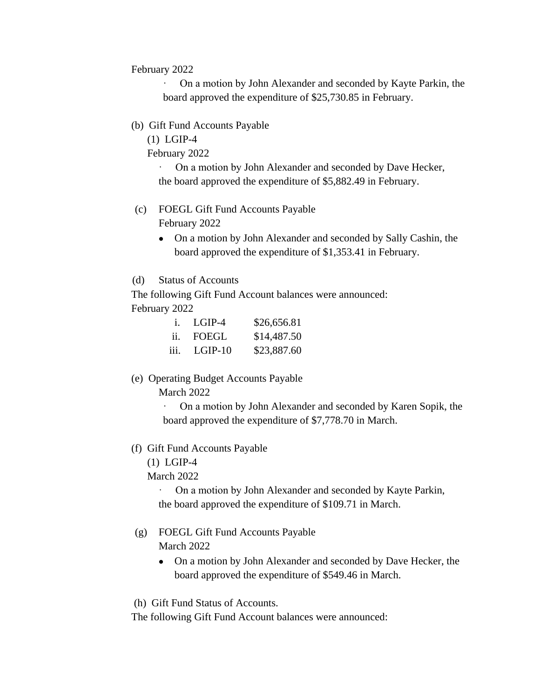February 2022

· On a motion by John Alexander and seconded by Kayte Parkin, the board approved the expenditure of \$25,730.85 in February.

(b) Gift Fund Accounts Payable

(1) LGIP-4

February 2022

On a motion by John Alexander and seconded by Dave Hecker, the board approved the expenditure of \$5,882.49 in February.

- (c) FOEGL Gift Fund Accounts Payable February 2022
	- On a motion by John Alexander and seconded by Sally Cashin, the board approved the expenditure of \$1,353.41 in February.
- (d) Status of Accounts

The following Gift Fund Account balances were announced: February 2022

|                | i. LGIP-4 | \$26,656.81 |
|----------------|-----------|-------------|
| $\mathbf{ii}$  | FOEGL     | \$14,487.50 |
| $\mathbf{iii}$ | $LGIP-10$ | \$23,887.60 |

(e) Operating Budget Accounts Payable

March 2022

· On a motion by John Alexander and seconded by Karen Sopik, the board approved the expenditure of \$7,778.70 in March.

- (f) Gift Fund Accounts Payable
	- (1) LGIP-4

March 2022

· On a motion by John Alexander and seconded by Kayte Parkin, the board approved the expenditure of \$109.71 in March.

- (g) FOEGL Gift Fund Accounts Payable March 2022
	- On a motion by John Alexander and seconded by Dave Hecker, the board approved the expenditure of \$549.46 in March.

(h) Gift Fund Status of Accounts.

The following Gift Fund Account balances were announced: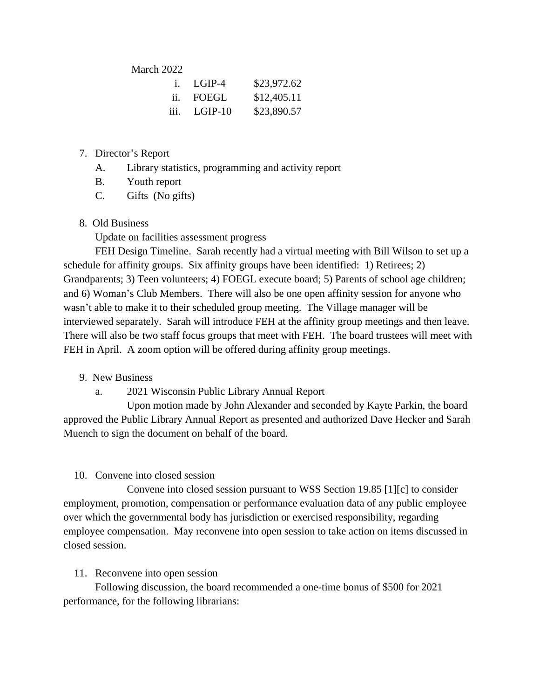March 2022

|               | i. LGIP-4      | \$23,972.62 |
|---------------|----------------|-------------|
| $\mathbf{ii}$ | FOEGL          | \$12,405.11 |
|               | $iii.$ LGIP-10 | \$23,890.57 |

- 7. Director's Report
	- A. Library statistics, programming and activity report
	- B. Youth report
	- C. Gifts (No gifts)
- 8. Old Business

Update on facilities assessment progress

FEH Design Timeline. Sarah recently had a virtual meeting with Bill Wilson to set up a schedule for affinity groups. Six affinity groups have been identified: 1) Retirees; 2) Grandparents; 3) Teen volunteers; 4) FOEGL execute board; 5) Parents of school age children; and 6) Woman's Club Members. There will also be one open affinity session for anyone who wasn't able to make it to their scheduled group meeting. The Village manager will be interviewed separately. Sarah will introduce FEH at the affinity group meetings and then leave. There will also be two staff focus groups that meet with FEH. The board trustees will meet with FEH in April. A zoom option will be offered during affinity group meetings.

- 9. New Business
	- a. 2021 Wisconsin Public Library Annual Report

Upon motion made by John Alexander and seconded by Kayte Parkin, the board approved the Public Library Annual Report as presented and authorized Dave Hecker and Sarah Muench to sign the document on behalf of the board.

## 10. Convene into closed session

Convene into closed session pursuant to WSS Section 19.85 [1][c] to consider employment, promotion, compensation or performance evaluation data of any public employee over which the governmental body has jurisdiction or exercised responsibility, regarding employee compensation. May reconvene into open session to take action on items discussed in closed session.

## 11. Reconvene into open session

Following discussion, the board recommended a one-time bonus of \$500 for 2021 performance, for the following librarians: